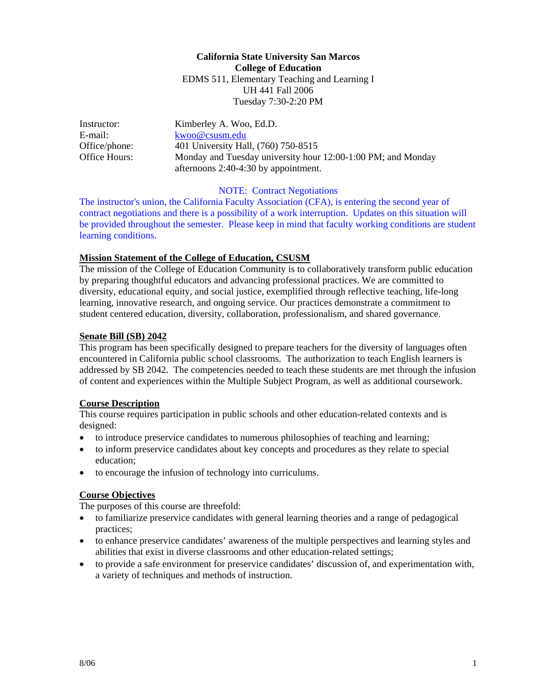**California State University San Marcos College of Education**  EDMS 511, Elementary Teaching and Learning I UH 441 Fall 2006 Tuesday 7:30-2:20 PM

Instructor: Kimberley A. Woo, Ed.D. E-mail: kwoo@csusm.edu Office/phone: 401 University Hall, (760) 750-8515 Office Hours: Monday and Tuesday university hour 12:00-1:00 PM; and Monday afternoons 2:40-4:30 by appointment.

#### NOTE: Contract Negotiations

The instructor's union, the California Faculty Association (CFA), is entering the second year of contract negotiations and there is a possibility of a work interruption. Updates on this situation will be provided throughout the semester. Please keep in mind that faculty working conditions are student learning conditions.

#### **Mission Statement of the College of Education, CSUSM**

The mission of the College of Education Community is to collaboratively transform public education by preparing thoughtful educators and advancing professional practices. We are committed to diversity, educational equity, and social justice, exemplified through reflective teaching, life-long learning, innovative research, and ongoing service. Our practices demonstrate a commitment to student centered education, diversity, collaboration, professionalism, and shared governance.

#### **Senate Bill (SB) 2042**

This program has been specifically designed to prepare teachers for the diversity of languages often encountered in California public school classrooms. The authorization to teach English learners is addressed by SB 2042. The competencies needed to teach these students are met through the infusion of content and experiences within the Multiple Subject Program, as well as additional coursework.

#### **Course Description**

This course requires participation in public schools and other education-related contexts and is designed:

- to introduce preservice candidates to numerous philosophies of teaching and learning;
- to inform preservice candidates about key concepts and procedures as they relate to special education;
- to encourage the infusion of technology into curriculums.

### **Course Objectives**

The purposes of this course are threefold:

- to familiarize preservice candidates with general learning theories and a range of pedagogical practices;
- to enhance preservice candidates' awareness of the multiple perspectives and learning styles and abilities that exist in diverse classrooms and other education-related settings;
- to provide a safe environment for preservice candidates' discussion of, and experimentation with, a variety of techniques and methods of instruction.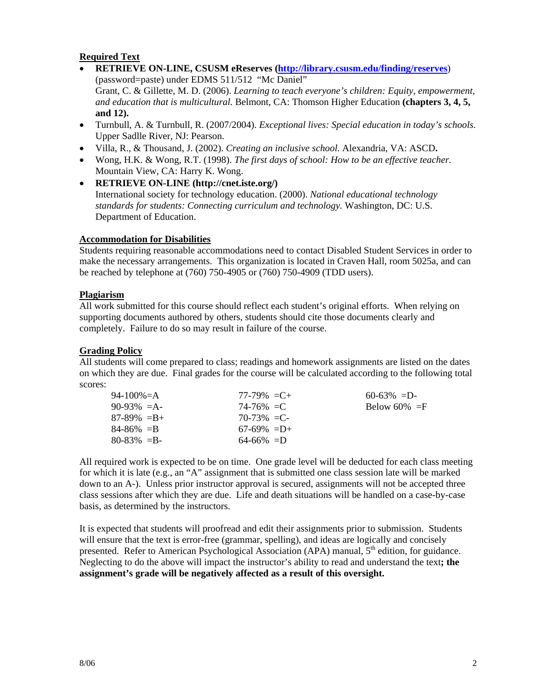## **Required Text**

- **RETRIEVE ON-LINE, CSUSM eReserves (http://library.csusm.edu/finding/reserves**) (password=paste) under EDMS 511/512 "Mc Daniel" Grant, C. & Gillette, M. D. (2006). *Learning to teach everyone's children: Equity, empowerment, and education that is multicultural.* Belmont, CA: Thomson Higher Education **(chapters 3, 4, 5, and 12).**
- Turnbull, A. & Turnbull, R. (2007/2004). *Exceptional lives: Special education in today's schools*. Upper Sadlle River, NJ: Pearson.
- Villa, R., & Thousand, J. (2002). *Creating an inclusive school.* Alexandria, VA: ASCD**.**
- Wong, H.K. & Wong, R.T. (1998). *The first days of school: How to be an effective teacher.* Mountain View, CA: Harry K. Wong.
- **RETRIEVE ON-LINE (http://cnet.iste.org/)** International society for technology education. (2000). *National educational technology standards for students: Connecting curriculum and technology.* Washington, DC: U.S. Department of Education.

### **Accommodation for Disabilities**

Students requiring reasonable accommodations need to contact Disabled Student Services in order to make the necessary arrangements. This organization is located in Craven Hall, room 5025a, and can be reached by telephone at (760) 750-4905 or (760) 750-4909 (TDD users).

#### **Plagiarism**

All work submitted for this course should reflect each student's original efforts. When relying on supporting documents authored by others, students should cite those documents clearly and completely. Failure to do so may result in failure of the course.

#### **Grading Policy**

All students will come prepared to class; readings and homework assignments are listed on the dates on which they are due. Final grades for the course will be calculated according to the following total scores:

| 94-100%=A       | $77-79\% = C +$ | $60-63\% = D$   |
|-----------------|-----------------|-----------------|
| $90-93\% = A$   | $74 - 76\% = C$ | Below 60% $=$ F |
| $87-89\% = B +$ | 70-73% = C-     |                 |
| $84 - 86\% = B$ | $67-69\% = D+$  |                 |
| $80 - 83\% = B$ | $64 - 66\% = D$ |                 |

All required work is expected to be on time. One grade level will be deducted for each class meeting for which it is late (e.g., an "A" assignment that is submitted one class session late will be marked down to an A-). Unless prior instructor approval is secured, assignments will not be accepted three class sessions after which they are due. Life and death situations will be handled on a case-by-case basis, as determined by the instructors.

It is expected that students will proofread and edit their assignments prior to submission. Students will ensure that the text is error-free (grammar, spelling), and ideas are logically and concisely presented. Refer to American Psychological Association (APA) manual,  $5<sup>th</sup>$  edition, for guidance. Neglecting to do the above will impact the instructor's ability to read and understand the text**; the assignment's grade will be negatively affected as a result of this oversight.**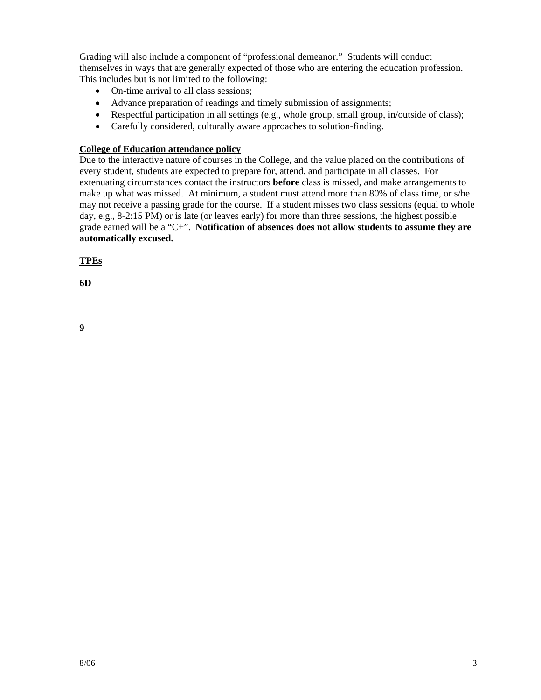Grading will also include a component of "professional demeanor." Students will conduct themselves in ways that are generally expected of those who are entering the education profession. This includes but is not limited to the following:

- On-time arrival to all class sessions;
- Advance preparation of readings and timely submission of assignments;
- Respectful participation in all settings (e.g., whole group, small group, in/outside of class);
- Carefully considered, culturally aware approaches to solution-finding.

## **College of Education attendance policy**

Due to the interactive nature of courses in the College, and the value placed on the contributions of every student, students are expected to prepare for, attend, and participate in all classes. For extenuating circumstances contact the instructors **before** class is missed, and make arrangements to make up what was missed. At minimum, a student must attend more than 80% of class time, or s/he may not receive a passing grade for the course. If a student misses two class sessions (equal to whole day, e.g., 8-2:15 PM) or is late (or leaves early) for more than three sessions, the highest possible grade earned will be a "C+". **Notification of absences does not allow students to assume they are automatically excused.** 

**TPEs**

**6D**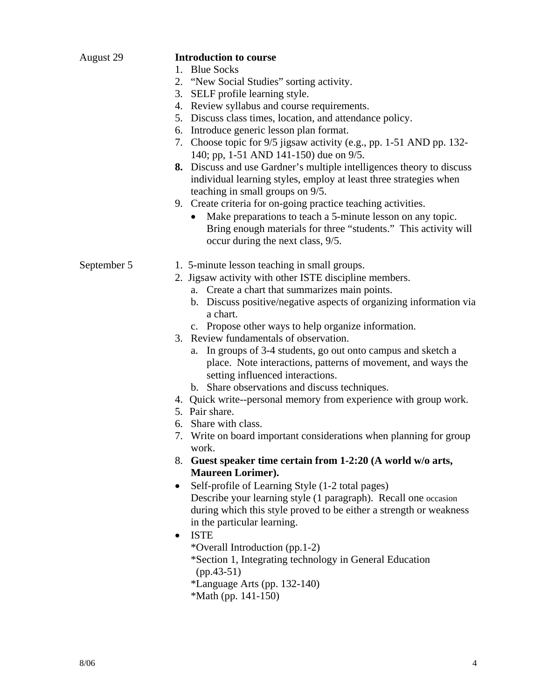| August 29   | <b>Introduction to course</b>                                                                                                                                      |
|-------------|--------------------------------------------------------------------------------------------------------------------------------------------------------------------|
|             | 1. Blue Socks                                                                                                                                                      |
|             | 2. "New Social Studies" sorting activity.                                                                                                                          |
|             | 3. SELF profile learning style.                                                                                                                                    |
|             | 4. Review syllabus and course requirements.                                                                                                                        |
|             | 5. Discuss class times, location, and attendance policy.                                                                                                           |
|             | 6. Introduce generic lesson plan format.                                                                                                                           |
|             | 7. Choose topic for 9/5 jigsaw activity (e.g., pp. 1-51 AND pp. 132-<br>140; pp, 1-51 AND 141-150) due on 9/5.                                                     |
|             | 8. Discuss and use Gardner's multiple intelligences theory to discuss<br>individual learning styles, employ at least three strategies when                         |
|             | teaching in small groups on 9/5.                                                                                                                                   |
|             | 9. Create criteria for on-going practice teaching activities.                                                                                                      |
|             | Make preparations to teach a 5-minute lesson on any topic.<br>Bring enough materials for three "students." This activity will<br>occur during the next class, 9/5. |
|             |                                                                                                                                                                    |
| September 5 | 1. 5-minute lesson teaching in small groups.                                                                                                                       |
|             | 2. Jigsaw activity with other ISTE discipline members.                                                                                                             |
|             | a. Create a chart that summarizes main points.                                                                                                                     |
|             | b. Discuss positive/negative aspects of organizing information via                                                                                                 |
|             | a chart.                                                                                                                                                           |
|             | c. Propose other ways to help organize information.                                                                                                                |
|             | 3. Review fundamentals of observation.                                                                                                                             |
|             | a. In groups of 3-4 students, go out onto campus and sketch a<br>place. Note interactions, patterns of movement, and ways the<br>setting influenced interactions.  |
|             | b. Share observations and discuss techniques.                                                                                                                      |
|             | 4. Quick write--personal memory from experience with group work.                                                                                                   |
|             | 5. Pair share.                                                                                                                                                     |
|             | 6. Share with class.                                                                                                                                               |
|             | 7. Write on board important considerations when planning for group<br>work.                                                                                        |
|             | 8. Guest speaker time certain from 1-2:20 (A world w/o arts,                                                                                                       |
|             | Maureen Lorimer).                                                                                                                                                  |
|             | Self-profile of Learning Style (1-2 total pages)<br>$\bullet$                                                                                                      |
|             | Describe your learning style (1 paragraph). Recall one occasion                                                                                                    |
|             | during which this style proved to be either a strength or weakness                                                                                                 |
|             | in the particular learning.                                                                                                                                        |
|             | <b>ISTE</b><br>$\bullet$                                                                                                                                           |
|             | *Overall Introduction (pp.1-2)                                                                                                                                     |
|             | *Section 1, Integrating technology in General Education                                                                                                            |
|             | $(pp.43-51)$                                                                                                                                                       |
|             | *Language Arts (pp. 132-140)                                                                                                                                       |
|             | *Math (pp. $141-150$ )                                                                                                                                             |
|             |                                                                                                                                                                    |
|             |                                                                                                                                                                    |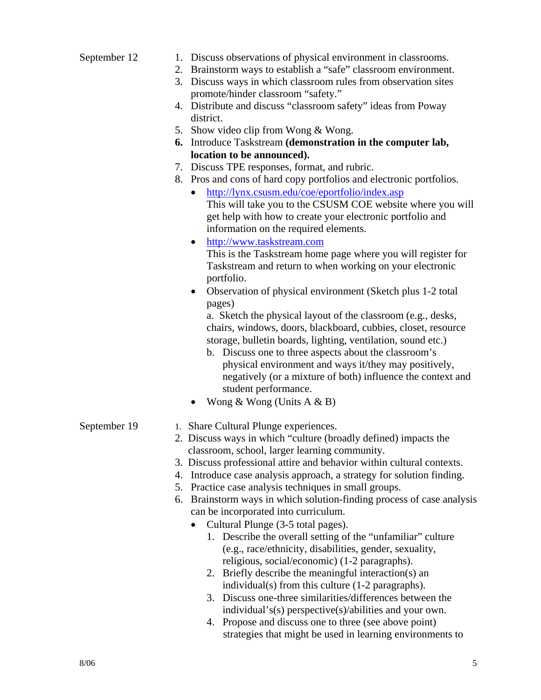| September 12 | 1. Discuss observations of physical environment in classrooms.           |
|--------------|--------------------------------------------------------------------------|
|              | Brainstorm ways to establish a "safe" classroom environment.<br>2.       |
|              | Discuss ways in which classroom rules from observation sites<br>3.       |
|              | promote/hinder classroom "safety."                                       |
|              | 4. Distribute and discuss "classroom safety" ideas from Poway            |
|              | district.                                                                |
|              | 5. Show video clip from Wong & Wong.                                     |
|              | 6. Introduce Taskstream (demonstration in the computer lab,              |
|              | location to be announced).                                               |
|              | 7. Discuss TPE responses, format, and rubric.                            |
|              | 8. Pros and cons of hard copy portfolios and electronic portfolios.      |
|              | http://lynx.csusm.edu/coe/eportfolio/index.asp<br>$\bullet$              |
|              | This will take you to the CSUSM COE website where you will               |
|              | get help with how to create your electronic portfolio and                |
|              | information on the required elements.                                    |
|              | http://www.taskstream.com<br>$\bullet$                                   |
|              | This is the Taskstream home page where you will register for             |
|              | Taskstream and return to when working on your electronic                 |
|              | portfolio.                                                               |
|              | Observation of physical environment (Sketch plus 1-2 total<br>٠          |
|              | pages)                                                                   |
|              | a. Sketch the physical layout of the classroom (e.g., desks,             |
|              |                                                                          |
|              | chairs, windows, doors, blackboard, cubbies, closet, resource            |
|              | storage, bulletin boards, lighting, ventilation, sound etc.)             |
|              | b. Discuss one to three aspects about the classroom's                    |
|              | physical environment and ways it/they may positively,                    |
|              | negatively (or a mixture of both) influence the context and              |
|              | student performance.                                                     |
|              | Wong & Wong (Units $A \& B$ )<br>$\bullet$                               |
| September 19 | 1. Share Cultural Plunge experiences.                                    |
|              | 2. Discuss ways in which "culture (broadly defined) impacts the          |
|              | classroom, school, larger learning community.                            |
|              | 3. Discuss professional attire and behavior within cultural contexts.    |
|              | 4. Introduce case analysis approach, a strategy for solution finding.    |
|              | Practice case analysis techniques in small groups.<br>5.                 |
|              | Brainstorm ways in which solution-finding process of case analysis<br>6. |
|              | can be incorporated into curriculum.                                     |
|              | Cultural Plunge (3-5 total pages).                                       |
|              | 1. Describe the overall setting of the "unfamiliar" culture              |
|              | (e.g., race/ethnicity, disabilities, gender, sexuality,                  |
|              | religious, social/economic) (1-2 paragraphs).                            |
|              | Briefly describe the meaningful interaction(s) an<br>2.                  |
|              | individual(s) from this culture (1-2 paragraphs).                        |
|              | 3. Discuss one-three similarities/differences between the                |
|              | individual's(s) perspective(s)/abilities and your own.                   |
|              | 4. Propose and discuss one to three (see above point)                    |
|              | strategies that might be used in learning environments to                |
|              |                                                                          |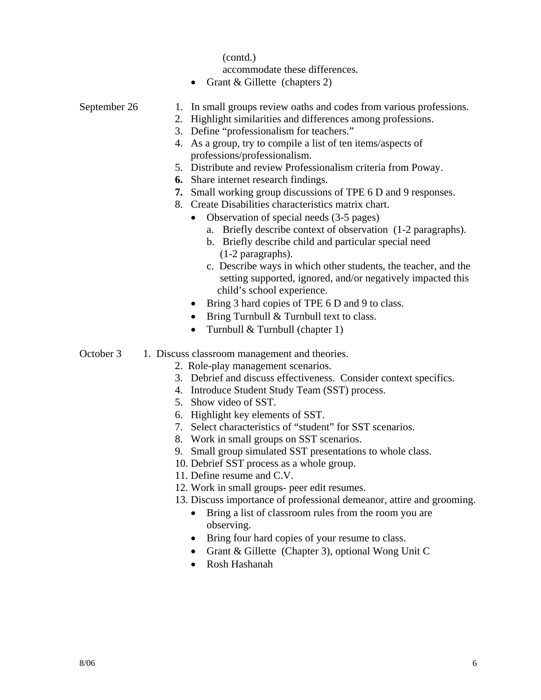(contd.)

accommodate these differences.

• Grant & Gillette (chapters 2)

# September 26 1. In small groups review oaths and codes from various professions.

- 2. Highlight similarities and differences among professions.
- 3. Define "professionalism for teachers."
- 4. As a group, try to compile a list of ten items/aspects of professions/professionalism.
- 5. Distribute and review Professionalism criteria from Poway.
- **6.** Share internet research findings.
- **7.** Small working group discussions of TPE 6 D and 9 responses.

8. Create Disabilities characteristics matrix chart.

- Observation of special needs (3-5 pages)
	- a. Briefly describe context of observation (1-2 paragraphs).
	- b. Briefly describe child and particular special need (1-2 paragraphs).
	- c. Describe ways in which other students, the teacher, and the setting supported, ignored, and/or negatively impacted this child's school experience.
- Bring 3 hard copies of TPE 6 D and 9 to class.
- Bring Turnbull & Turnbull text to class.
- Turnbull & Turnbull (chapter 1)
- October 3 1. Discuss classroom management and theories.
	- 2. Role-play management scenarios.
	- 3. Debrief and discuss effectiveness. Consider context specifics.
	- 4. Introduce Student Study Team (SST) process.
	- 5. Show video of SST.
	- 6. Highlight key elements of SST.
	- 7. Select characteristics of "student" for SST scenarios.
	- 8. Work in small groups on SST scenarios.
	- 9. Small group simulated SST presentations to whole class.
	- 10. Debrief SST process as a whole group.
	- 11. Define resume and C.V.
	- 12. Work in small groups- peer edit resumes.
	- 13. Discuss importance of professional demeanor, attire and grooming.
		- Bring a list of classroom rules from the room you are observing.
		- Bring four hard copies of your resume to class.
		- Grant & Gillette (Chapter 3), optional Wong Unit C
		- Rosh Hashanah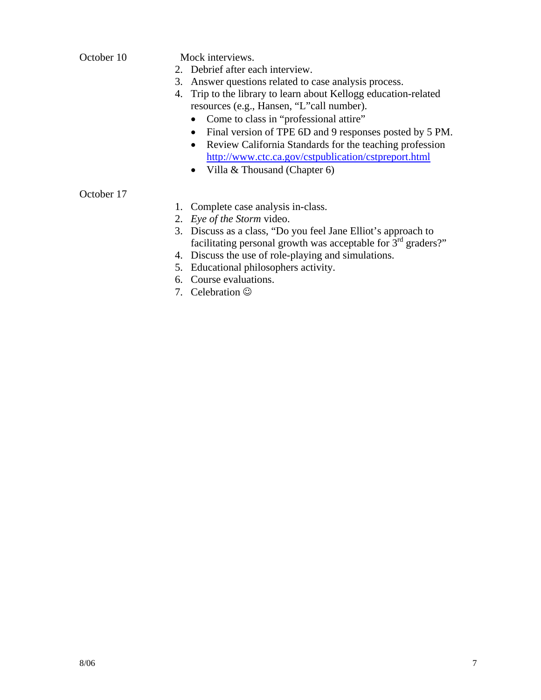October 10 Mock interviews.

- 2. Debrief after each interview.
- 3. Answer questions related to case analysis process.
- 4. Trip to the library to learn about Kellogg education-related resources (e.g., Hansen, "L"call number).
	- Come to class in "professional attire"
	- Final version of TPE 6D and 9 responses posted by 5 PM.
	- Review California Standards for the teaching profession http://www.ctc.ca.gov/cstpublication/cstpreport.html
	- Villa & Thousand (Chapter 6)

## October 17

- 1. Complete case analysis in-class.
- 2. *Eye of the Storm* video.
- 3. Discuss as a class, "Do you feel Jane Elliot's approach to facilitating personal growth was acceptable for  $3<sup>rd</sup>$  graders?"
- 4. Discuss the use of role-playing and simulations.
- 5. Educational philosophers activity.
- 6. Course evaluations.
- 7. Celebration  $\odot$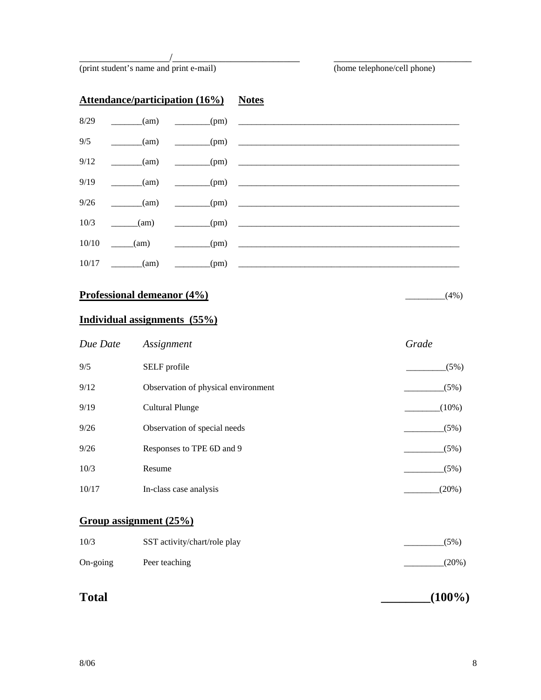(print student's name and print e-mail) (home telephone/cell phone)

|       |                    | <b>Attendance/participation (16%)</b> Notes |                                                                 |
|-------|--------------------|---------------------------------------------|-----------------------------------------------------------------|
|       |                    | $8/29$ (am) (pm)                            |                                                                 |
|       | $9/5$ (am)         |                                             | $\begin{array}{c}\n\text{(pm)}\n\end{array}$                    |
| 9/12  |                    |                                             | $\frac{(\text{am})}{\text{am}}$ $\frac{(\text{pm})}{\text{am}}$ |
| 9/19  | $\frac{1}{2}$ (am) |                                             | $\frac{1}{\sqrt{1-\frac{1}{2}}\left(\frac{1}{2}\right)}$        |
|       | $9/26$ (am)        | $(-1)^{(pm)}$                               | <u> 1980 - John Stein, Amerikaansk konst</u>                    |
|       | $10/3$ (am)        | (m)                                         |                                                                 |
|       |                    |                                             | $10/10$ (am) (pm)                                               |
| 10/17 | $\frac{\ }{}$ (am) | $\frac{1}{\text{pm}}$                       |                                                                 |

\_\_\_\_\_\_\_\_\_\_\_\_\_\_\_\_\_/\_\_\_\_\_\_\_\_\_\_\_\_\_\_\_\_\_\_\_\_\_\_\_\_ \_\_\_\_\_\_\_\_\_\_\_\_\_\_\_\_\_\_\_\_\_\_\_\_\_\_

# **Professional demeanor (4%)**  $(4\%)$

# **Individual assignments (55%)**

| Due Date | Assignment                          | Grade    |
|----------|-------------------------------------|----------|
| 9/5      | SELF profile                        | (5%)     |
| 9/12     | Observation of physical environment | (5%)     |
| 9/19     | Cultural Plunge                     | $(10\%)$ |
| 9/26     | Observation of special needs        | (5%)     |
| 9/26     | Responses to TPE 6D and 9           | (5%)     |
| 10/3     | Resume                              | (5%)     |
| 10/17    | In-class case analysis              | $(20\%)$ |

# **Group assignment (25%)**

| 10/3              | SST activity/chart/role play | (5%)     |
|-------------------|------------------------------|----------|
| $On\text{-going}$ | Peer teaching                | $(20\%)$ |

| <b>Total</b> | $(100\%)$ |
|--------------|-----------|
|--------------|-----------|